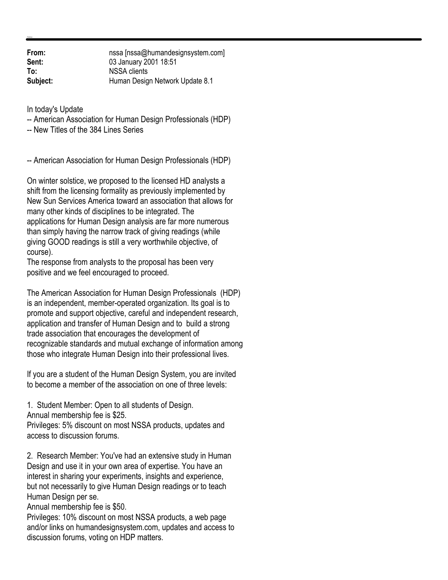**From:** nssa [nssa@humandesignsystem.com]<br> **Sent:** 03 January 2001 18:51 **Sent:** 03 January 2001 18:51 **To:** NSSA clients **Subject:** Human Design Network Update 8.1

In today's Update

-- American Association for Human Design Professionals (HDP)

-- New Titles of the 384 Lines Series

-- American Association for Human Design Professionals (HDP)

On winter solstice, we proposed to the licensed HD analysts a shift from the licensing formality as previously implemented by New Sun Services America toward an association that allows for many other kinds of disciplines to be integrated. The applications for Human Design analysis are far more numerous than simply having the narrow track of giving readings (while giving GOOD readings is still a very worthwhile objective, of course).

The response from analysts to the proposal has been very positive and we feel encouraged to proceed.

The American Association for Human Design Professionals (HDP) is an independent, member-operated organization. Its goal is to promote and support objective, careful and independent research, application and transfer of Human Design and to build a strong trade association that encourages the development of recognizable standards and mutual exchange of information among those who integrate Human Design into their professional lives.

If you are a student of the Human Design System, you are invited to become a member of the association on one of three levels:

1. Student Member: Open to all students of Design. Annual membership fee is \$25.

Privileges: 5% discount on most NSSA products, updates and access to discussion forums.

2. Research Member: You've had an extensive study in Human Design and use it in your own area of expertise. You have an interest in sharing your experiments, insights and experience, but not necessarily to give Human Design readings or to teach Human Design per se.

Annual membership fee is \$50.

Privileges: 10% discount on most NSSA products, a web page and/or links on humandesignsystem.com, updates and access to discussion forums, voting on HDP matters.